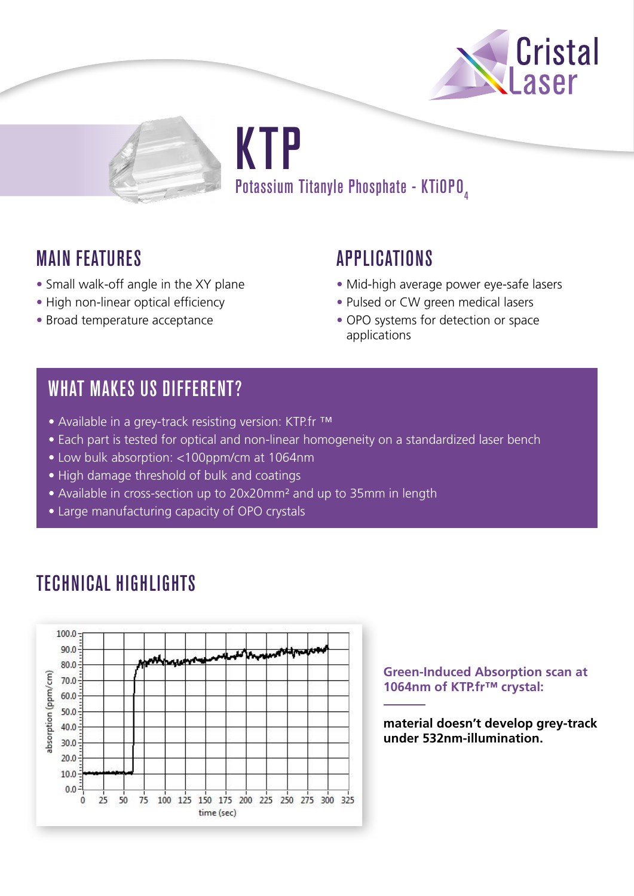



KTP Potassium Titanyle Phosphate - KTiOPO

### MAIN FEATURES

- Small walk-off angle in the XY plane
- High non-linear optical efficiency
- Broad temperature acceptance

#### APPLICATIONS

- Mid-high average power eye-safe lasers
- Pulsed or CW green medical lasers
- OPO systems for detection or space applications

### WHAT MAKES US DIFFERENT?

- Available in a grey-track resisting version: KTP.fr ™
- Each part is tested for optical and non-linear homogeneity on a standardized laser bench
- Low bulk absorption: <100ppm/cm at 1064nm
- High damage threshold of bulk and coatings
- Available in cross-section up to 20x20mm<sup>2</sup> and up to 35mm in length
- Large manufacturing capacity of OPO crystals

## TECHNICAL HIGHLIGHTS



**Green-Induced Absorption scan at 1064nm of KTP.fr™ crystal:**

**material doesn't develop grey-track under 532nm-illumination.**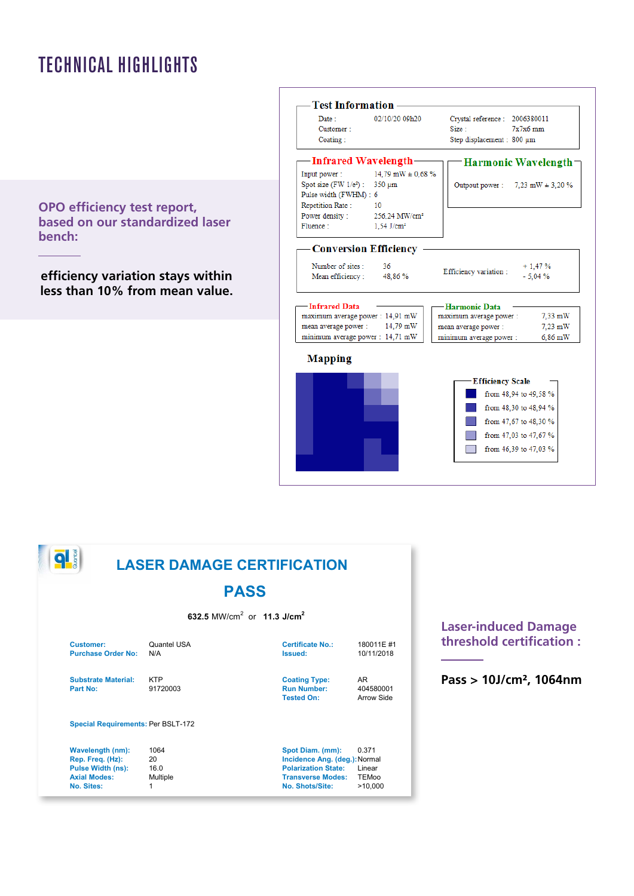## TECHNICAL HIGHLIGHTS

**OPO efficiency test report, based on our standardized laser bench:**

**efficiency variation stays within less than 10% from mean value.**



|                                                                                                              |                                           | <b>LASER DAMAGE CERTIFICATION</b>                                                                                              |                                            |                                        |
|--------------------------------------------------------------------------------------------------------------|-------------------------------------------|--------------------------------------------------------------------------------------------------------------------------------|--------------------------------------------|----------------------------------------|
| <b>PASS</b>                                                                                                  |                                           |                                                                                                                                |                                            |                                        |
| 632.5 MW/cm <sup>2</sup> or 11.3 J/cm <sup>2</sup>                                                           |                                           |                                                                                                                                | <b>Laser-induced Damage</b>                |                                        |
| <b>Customer:</b><br><b>Purchase Order No:</b>                                                                | <b>Quantel USA</b><br>N/A                 | <b>Certificate No.:</b><br><b>Issued:</b>                                                                                      | 180011E #1<br>10/11/2018                   | threshold certification:               |
| <b>Substrate Material:</b><br>Part No:                                                                       | <b>KTP</b><br>91720003                    | <b>Coating Type:</b><br><b>Run Number:</b><br><b>Tested On:</b>                                                                | AR.<br>404580001<br><b>Arrow Side</b>      | Pass $> 10$ J/cm <sup>2</sup> , 1064nm |
|                                                                                                              | <b>Special Requirements: Per BSLT-172</b> |                                                                                                                                |                                            |                                        |
| <b>Wavelength (nm):</b><br>Rep. Freq. (Hz):<br><b>Pulse Width (ns):</b><br><b>Axial Modes:</b><br>No. Sites: | 1064<br>20<br>16.0<br>Multiple<br>1       | Spot Diam. (mm):<br>Incidence Ang. (deg.): Normal<br><b>Polarization State:</b><br><b>Transverse Modes:</b><br>No. Shots/Site: | 0.371<br>Linear<br><b>TEMoo</b><br>>10.000 |                                        |